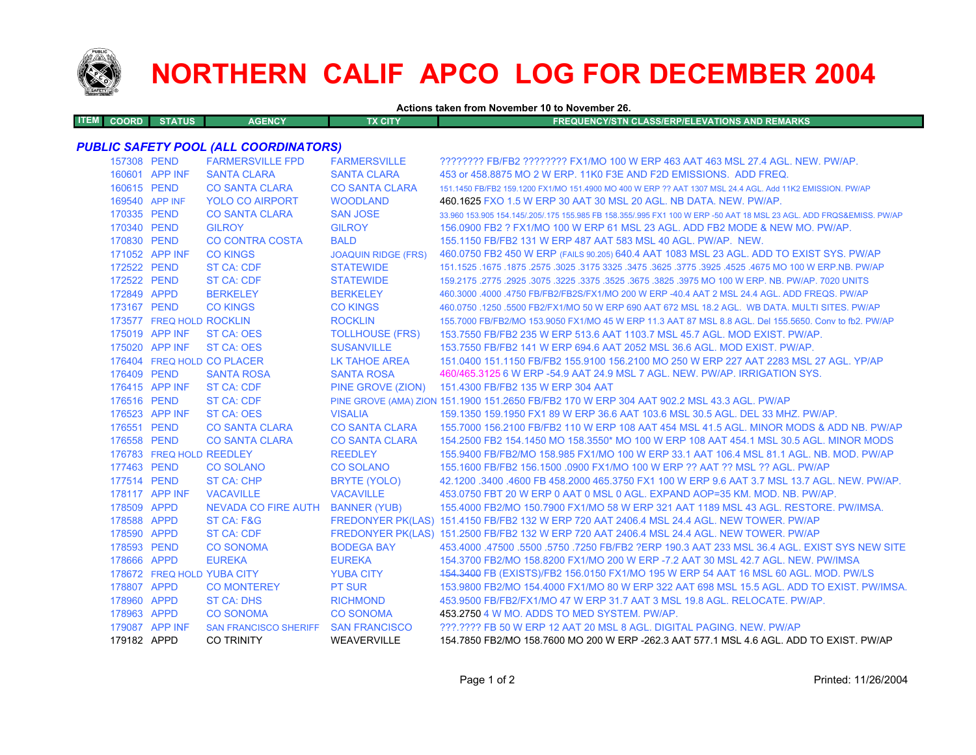

## **NORTHERN CALIF APCO LOG FOR DECEMBER 2004**

**Actions taken from November 10 to November 26.**

| <b>ITEM COORD</b> | <b>STATUS</b> | <b>AGENCY</b> | TX CITY | <b>FREQUENCY/STN CLASS/ERP/ELEVATIONS AND REMARKS</b> |
|-------------------|---------------|---------------|---------|-------------------------------------------------------|
|                   |               |               |         |                                                       |

## *PUBLIC SAFETY POOL (ALL COORDINATORS)*

| 157308 PEND |                          | <b>FARMERSVILLE FPD</b>             | <b>FARMERSVILLE</b>        | ???????? FB/FB2 ???????? FX1/MO 100 W ERP 463 AAT 463 MSL 27.4 AGL. NEW. PW/AP.                                     |
|-------------|--------------------------|-------------------------------------|----------------------------|---------------------------------------------------------------------------------------------------------------------|
|             | 160601 APP INF           | <b>SANTA CLARA</b>                  | <b>SANTA CLARA</b>         | 453 or 458,8875 MO 2 W ERP, 11K0 F3E AND F2D EMISSIONS. ADD FREQ.                                                   |
| 160615 PEND |                          | <b>CO SANTA CLARA</b>               | <b>CO SANTA CLARA</b>      | 151.1450 FB/FB2 159.1200 FX1/MO 151.4900 MO 400 W ERP ?? AAT 1307 MSL 24.4 AGL, Add 11K2 EMISSION, PW/AP            |
|             | 169540 APP INF           | <b>YOLO CO AIRPORT</b>              | <b>WOODLAND</b>            | 460.1625 FXO 1.5 W ERP 30 AAT 30 MSL 20 AGL, NB DATA, NEW, PW/AP.                                                   |
| 170335 PEND |                          | <b>CO SANTA CLARA</b>               | <b>SAN JOSE</b>            | 33.960 153.905 154.145/.205/.175 155.985 FB 158.355/.995 FX1 100 W ERP -50 AAT 18 MSL 23 AGL. ADD FRQS&EMISS. PW/AP |
| 170340 PEND |                          | <b>GILROY</b>                       | <b>GILROY</b>              | 156,0900 FB2 ? FX1/MO 100 W ERP 61 MSL 23 AGL. ADD FB2 MODE & NEW MO, PW/AP.                                        |
| 170830 PEND |                          | <b>CO CONTRA COSTA</b>              | <b>BALD</b>                | 155,1150 FB/FB2 131 W ERP 487 AAT 583 MSL 40 AGL, PW/AP, NEW.                                                       |
|             | 171052 APP INF           | <b>CO KINGS</b>                     | <b>JOAQUIN RIDGE (FRS)</b> | 460.0750 FB2 450 W ERP (FAILS 90.205) 640.4 AAT 1083 MSL 23 AGL. ADD TO EXIST SYS. PW/AP                            |
| 172522 PEND |                          | <b>ST CA: CDF</b>                   | <b>STATEWIDE</b>           | 151.1525 .1675 .1675 .1675 .3025 .3175 3325 .3475 .3625 .3775 .3925 .3775 .3925 .4675 MO 100 W ERP.NB. PW/AP        |
| 172522 PEND |                          | <b>ST CA: CDF</b>                   | <b>STATEWIDE</b>           | 159.2175 .2775 .2925 .3075 .3225 .3675 .3675 .3825 .3975 MO 100 W ERP. NB. PW/AP. 7020 UNITS                        |
| 172849 APPD |                          | <b>BERKELEY</b>                     | <b>BERKELEY</b>            | 460.3000 .4000 .4750 FB/FB2/FB2S/FX1/MO 200 W ERP -40.4 AAT 2 MSL 24.4 AGL. ADD FREQS. PW/AP                        |
| 173167 PEND |                          | <b>CO KINGS</b>                     | <b>CO KINGS</b>            | 460.0750 .1250 .5500 FB2/FX1/MO 50 W ERP 690 AAT 672 MSL 18.2 AGL. WB DATA. MULTI SITES. PW/AP                      |
|             | 173577 FREQ HOLD ROCKLIN |                                     | <b>ROCKLIN</b>             | 155.7000 FB/FB2/MO 153.9050 FX1/MO 45 W ERP 11.3 AAT 87 MSL 8.8 AGL. Del 155.5650. Conv to fb2. PW/AP               |
|             | 175019 APP INF           | ST CA: OES                          | <b>TOLLHOUSE (FRS)</b>     | 153.7550 FB/FB2 235 W ERP 513.6 AAT 1103.7 MSL 45.7 AGL, MOD EXIST, PW/AP.                                          |
|             | 175020 APP INF           | ST CA: OES                          | <b>SUSANVILLE</b>          | 153.7550 FB/FB2 141 W ERP 694.6 AAT 2052 MSL 36.6 AGL. MOD EXIST. PW/AP.                                            |
|             |                          | 176404 FREQ HOLD CO PLACER          | LK TAHOE AREA              | 151.0400 151.1150 FB/FB2 155.9100 156.2100 MO 250 W ERP 227 AAT 2283 MSL 27 AGL. YP/AP                              |
| 176409 PEND |                          | <b>SANTA ROSA</b>                   | <b>SANTA ROSA</b>          | 460/465.3125 6 W ERP -54.9 AAT 24.9 MSL 7 AGL, NEW, PW/AP, IRRIGATION SYS.                                          |
|             | 176415 APP INF           | <b>ST CA: CDF</b>                   | PINE GROVE (ZION)          | 151.4300 FB/FB2 135 W ERP 304 AAT                                                                                   |
| 176516 PEND |                          | <b>ST CA: CDF</b>                   |                            | PINE GROVE (AMA) ZION 151.1900 151.2650 FB/FB2 170 W ERP 304 AAT 902.2 MSL 43.3 AGL. PW/AP                          |
|             | 176523 APP INF           | <b>ST CA: OES</b>                   | <b>VISALIA</b>             | 159.1350 159.1950 FX1 89 W ERP 36.6 AAT 103.6 MSL 30.5 AGL, DEL 33 MHZ, PW/AP,                                      |
| 176551 PEND |                          | <b>CO SANTA CLARA</b>               | <b>CO SANTA CLARA</b>      | 155.7000 156.2100 FB/FB2 110 W ERP 108 AAT 454 MSL 41.5 AGL. MINOR MODS & ADD NB. PW/AP                             |
| 176558 PEND |                          | <b>CO SANTA CLARA</b>               | <b>CO SANTA CLARA</b>      | 154,2500 FB2 154,1450 MO 158,3550* MO 100 W ERP 108 AAT 454,1 MSL 30.5 AGL. MINOR MODS                              |
|             | 176783 FREQ HOLD REEDLEY |                                     | <b>REEDLEY</b>             | 155,9400 FB/FB2/MO 158,985 FX1/MO 100 W ERP 33.1 AAT 106.4 MSL 81.1 AGL, NB, MOD, PW/AP                             |
| 177463 PEND |                          | <b>CO SOLANO</b>                    | <b>CO SOLANO</b>           | 155.1600 FB/FB2 156.1500 .0900 FX1/MO 100 W ERP ?? AAT ?? MSL ?? AGL. PW/AP                                         |
| 177514 PEND |                          | <b>ST CA: CHP</b>                   | BRYTE (YOLO)               | 42.1200 .3400 .4600 FB 458.2000 465.3750 FX1 100 W ERP 9.6 AAT 3.7 MSL 13.7 AGL, NEW, PW/AP,                        |
|             | 178117 APP INF           | <b>VACAVILLE</b>                    | <b>VACAVILLE</b>           | 453.0750 FBT 20 W ERP 0 AAT 0 MSL 0 AGL. EXPAND AOP=35 KM, MOD, NB, PW/AP.                                          |
| 178509 APPD |                          | NEVADA CO FIRE AUTH                 | <b>BANNER (YUB)</b>        | 155.4000 FB2/MO 150.7900 FX1/MO 58 W ERP 321 AAT 1189 MSL 43 AGL. RESTORE. PW/IMSA.                                 |
| 178588 APPD |                          | ST CA: F&G                          |                            | FREDONYER PK(LAS) 151.4150 FB/FB2 132 W ERP 720 AAT 2406.4 MSL 24.4 AGL. NEW TOWER. PW/AP                           |
| 178590 APPD |                          | ST CA: CDF                          |                            | FREDONYER PK(LAS) 151.2500 FB/FB2 132 W ERP 720 AAT 2406.4 MSL 24.4 AGL. NEW TOWER. PW/AP                           |
| 178593 PEND |                          | <b>CO SONOMA</b>                    | <b>BODEGA BAY</b>          | 453.4000 .47500 .5500 .5750 .7250 FB/FB2 ?ERP 190.3 AAT 233 MSL 36.4 AGL. EXIST SYS NEW SITE                        |
| 178666 APPD |                          | <b>EUREKA</b>                       | <b>EUREKA</b>              | 154.3700 FB2/MO 158.8200 FX1/MO 200 W ERP -7.2 AAT 30 MSL 42.7 AGL. NEW. PW/IMSA                                    |
|             |                          | 178672 FREQ HOLD YUBA CITY          | <b>YUBA CITY</b>           | 154.3400 FB (EXISTS)/FB2 156.0150 FX1/MO 195 W ERP 54 AAT 16 MSL 60 AGL. MOD. PW/LS                                 |
| 178807 APPD |                          | <b>CO MONTEREY</b>                  | <b>PT SUR</b>              | 153.9800 FB2/MO 154.4000 FX1/MO 80 W ERP 322 AAT 698 MSL 15.5 AGL. ADD TO EXIST. PW/IMSA.                           |
| 178960 APPD |                          | <b>ST CA: DHS</b>                   | <b>RICHMOND</b>            | 453,9500 FB/FB2/FX1/MO 47 W ERP 31.7 AAT 3 MSL 19.8 AGL. RELOCATE, PW/AP.                                           |
| 178963 APPD |                          | <b>CO SONOMA</b>                    | <b>CO SONOMA</b>           | 453.2750 4 W MO. ADDS TO MED SYSTEM. PW/AP.                                                                         |
|             | 179087 APP INF           | SAN FRANCISCO SHERIFF SAN FRANCISCO |                            | ???.???? FB 50 W ERP 12 AAT 20 MSL 8 AGL. DIGITAL PAGING. NEW. PW/AP                                                |
| 179182 APPD |                          | <b>CO TRINITY</b>                   | <b>WEAVERVILLE</b>         | 154.7850 FB2/MO 158.7600 MO 200 W ERP -262.3 AAT 577.1 MSL 4.6 AGL, ADD TO EXIST, PW/AP                             |